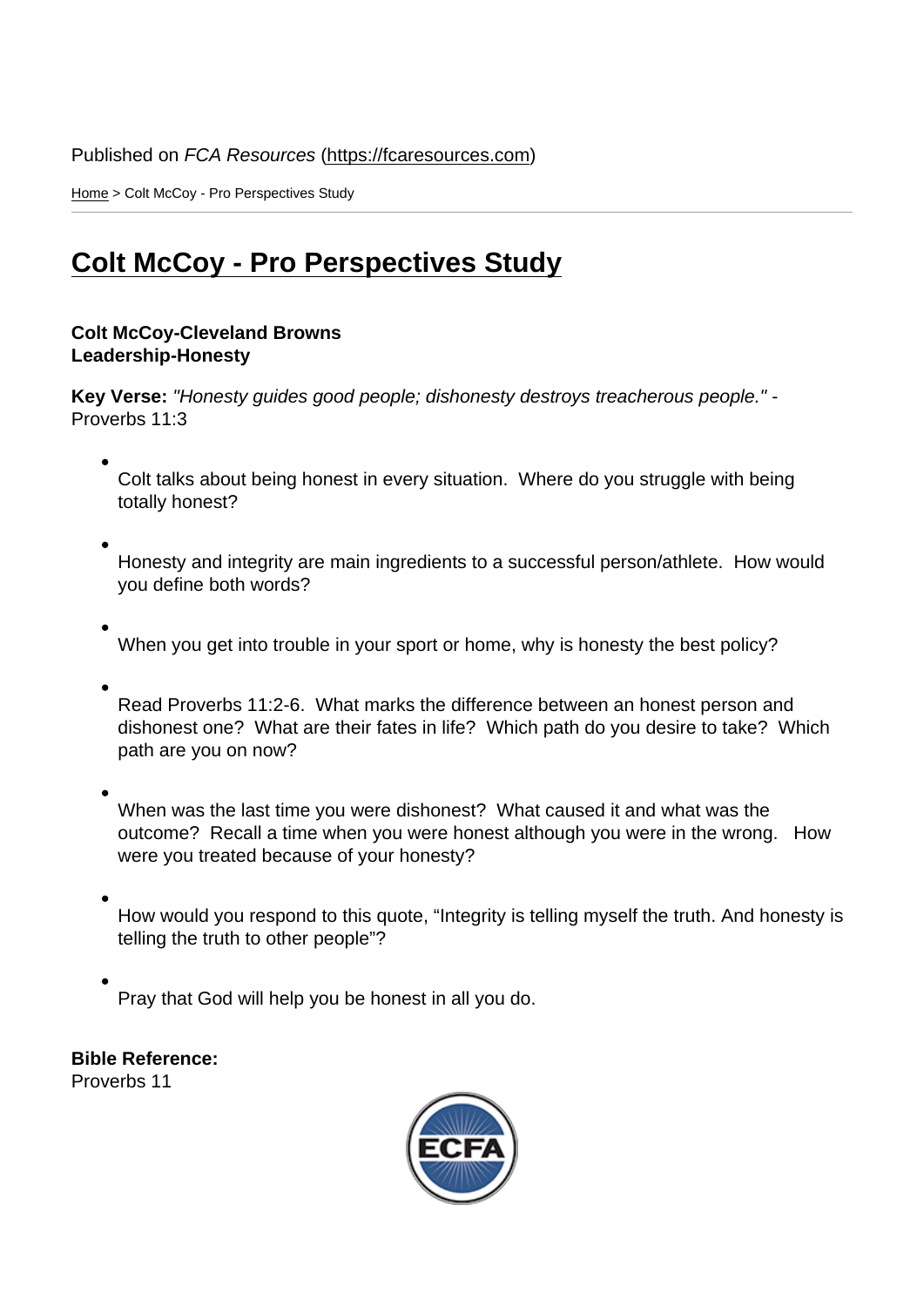Home > Colt McCoy - Pro Perspectives Study

## [Col](https://fcaresources.com/)t McCoy - Pro Perspectives Study

[Colt McCoy-Cleveland Browns](https://fcaresources.com/bible-study/colt-mccoy-pro-perspectives-study) Leadership-Honesty

Key Verse: "Honesty guides good people; dishonesty destroys treacherous people." - Proverbs 11:3

Colt talks about being honest in every situation. Where do you struggle with being totally honest?

Honesty and integrity are main ingredients to a successful person/athlete. How would you define both words?

When you get into trouble in your sport or home, why is honesty the best policy?

Read Proverbs 11:2-6. What marks the difference between an honest person and dishonest one? What are their fates in life? Which path do you desire to take? Which path are you on now?

When was the last time you were dishonest? What caused it and what was the outcome? Recall a time when you were honest although you were in the wrong. How were you treated because of your honesty?

How would you respond to this quote, "Integrity is telling myself the truth. And honesty is telling the truth to other people"?

Pray that God will help you be honest in all you do.

Bible Reference: Proverbs 11